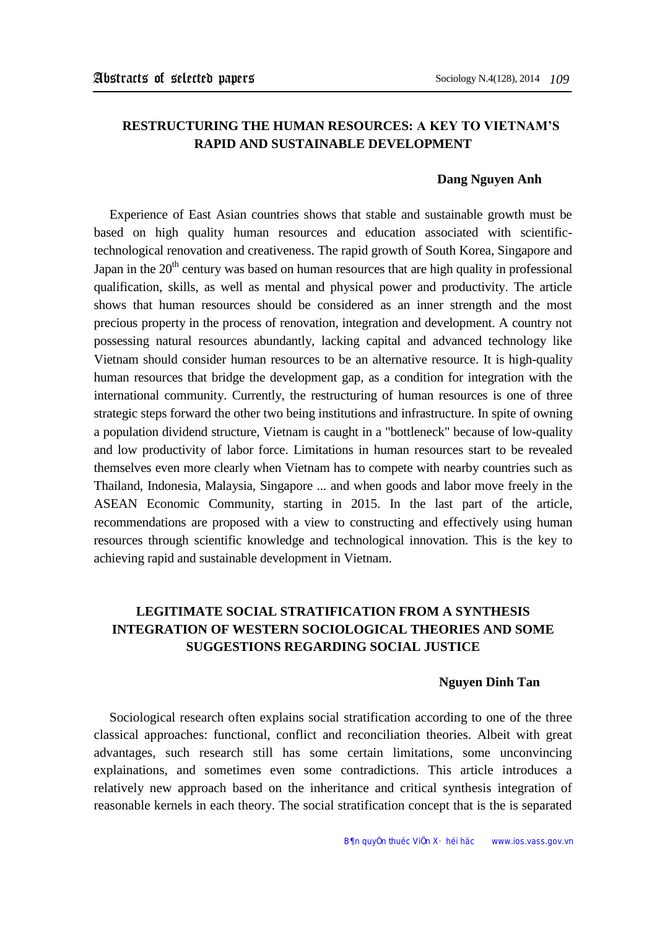## **RESTRUCTURING THE HUMAN RESOURCES: A KEY TO VIETNAM'S RAPID AND SUSTAINABLE DEVELOPMENT**

### **Dang Nguyen Anh**

Experience of East Asian countries shows that stable and sustainable growth must be based on high quality human resources and education associated with scientifictechnological renovation and creativeness. The rapid growth of South Korea, Singapore and Japan in the  $20<sup>th</sup>$  century was based on human resources that are high quality in professional qualification, skills, as well as mental and physical power and productivity. The article shows that human resources should be considered as an inner strength and the most precious property in the process of renovation, integration and development. A country not possessing natural resources abundantly, lacking capital and advanced technology like Vietnam should consider human resources to be an alternative resource. It is high-quality human resources that bridge the development gap, as a condition for integration with the international community. Currently, the restructuring of human resources is one of three strategic steps forward the other two being institutions and infrastructure. In spite of owning a population dividend structure, Vietnam is caught in a "bottleneck" because of low-quality and low productivity of labor force. Limitations in human resources start to be revealed themselves even more clearly when Vietnam has to compete with nearby countries such as Thailand, Indonesia, Malaysia, Singapore ... and when goods and labor move freely in the ASEAN Economic Community, starting in 2015. In the last part of the article, recommendations are proposed with a view to constructing and effectively using human resources through scientific knowledge and technological innovation. This is the key to achieving rapid and sustainable development in Vietnam.

# **LEGITIMATE SOCIAL STRATIFICATION FROM A SYNTHESIS INTEGRATION OF WESTERN SOCIOLOGICAL THEORIES AND SOME SUGGESTIONS REGARDING SOCIAL JUSTICE**

#### **Nguyen Dinh Tan**

Sociological research often explains social stratification according to one of the three classical approaches: functional, conflict and reconciliation theories. Albeit with great advantages, such research still has some certain limitations, some unconvincing explainations, and sometimes even some contradictions. This article introduces a relatively new approach based on the inheritance and critical synthesis integration of reasonable kernels in each theory. The social stratification concept that is the is separated